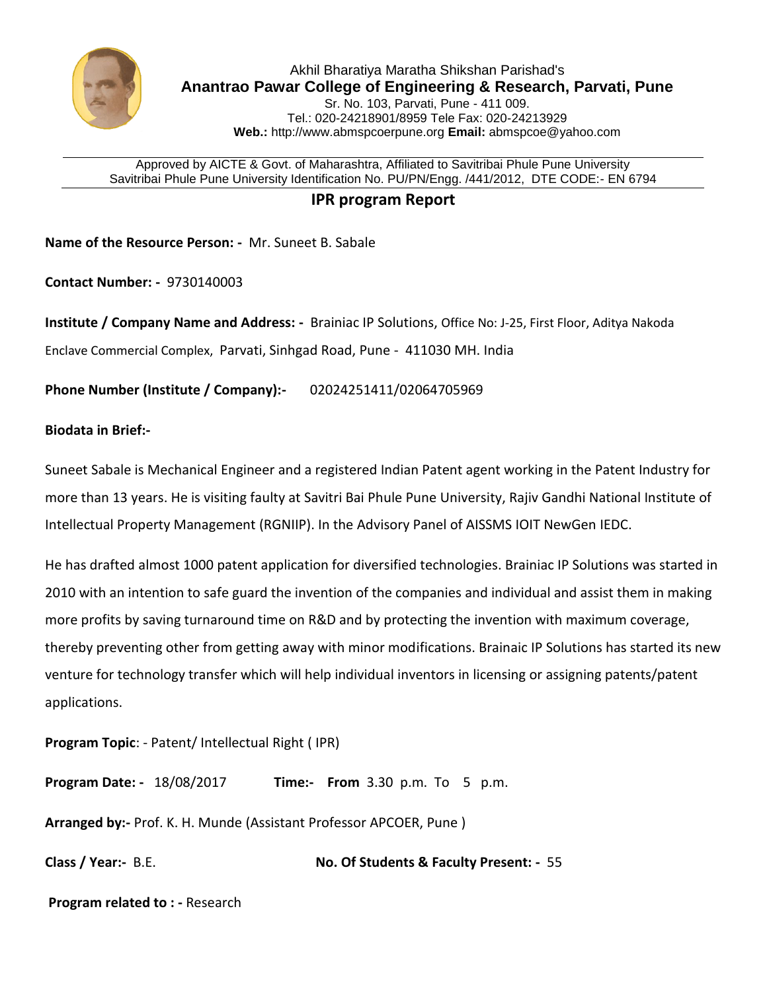

Approved by AICTE & Govt. of Maharashtra, Affiliated to Savitribai Phule Pune University Savitribai Phule Pune University Identification No. PU/PN/Engg. /441/2012, DTE CODE:- EN 6794

## **IPR program Report**

**Name of the Resource Person: -** Mr. Suneet B. Sabale

**Contact Number: -** 9730140003

**Institute / Company Name and Address: -** Brainiac IP Solutions, Office No: J-25, First Floor, Aditya Nakoda Enclave Commercial Complex, Parvati, Sinhgad Road, Pune - 411030 MH. India

**Phone Number (Institute / Company):-** 02024251411/02064705969

## **Biodata in Brief:-**

Suneet Sabale is Mechanical Engineer and a registered Indian Patent agent working in the Patent Industry for more than 13 years. He is visiting faulty at Savitri Bai Phule Pune University, Rajiv Gandhi National Institute of Intellectual Property Management (RGNIIP). In the Advisory Panel of AISSMS IOIT NewGen IEDC.

He has drafted almost 1000 patent application for diversified technologies. Brainiac IP Solutions was started in 2010 with an intention to safe guard the invention of the companies and individual and assist them in making more profits by saving turnaround time on R&D and by protecting the invention with maximum coverage, thereby preventing other from getting away with minor modifications. Brainaic IP Solutions has started its new venture for technology transfer which will help individual inventors in licensing or assigning patents/patent applications.

**Program Topic**: - Patent/ Intellectual Right ( IPR)

**Program Date: -** 18/08/2017 **Time:- From** 3.30 p.m. To 5 p.m.

**Arranged by:-** Prof. K. H. Munde (Assistant Professor APCOER, Pune )

**Class / Year:-** B.E. **No. Of Students & Faculty Present: -** 55

**Program related to : -** Research